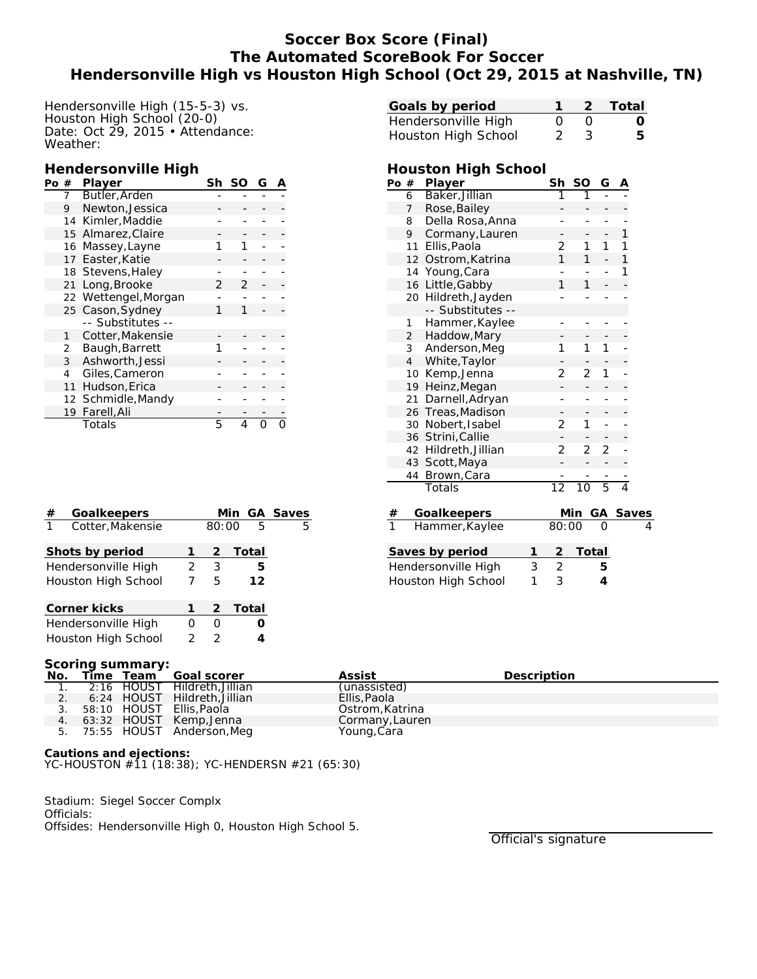# **Soccer Box Score (Final) The Automated ScoreBook For Soccer Hendersonville High vs Houston High School (Oct 29, 2015 at Nashville, TN)**

Hendersonville High (15-5-3) vs. Houston High School (20-0) Date: Oct 29, 2015 • Attendance: Weather:

### **Hendersonville High**

| Po | #  | Player               | Sh | SO | G |  |
|----|----|----------------------|----|----|---|--|
|    |    | Butler, Arden        |    |    |   |  |
|    | 9  | Newton, Jessica      |    |    |   |  |
|    |    | 14 Kimler, Maddie    |    |    |   |  |
|    |    | 15 Almarez, Claire   |    |    |   |  |
|    | 16 | Massey, Layne        |    |    |   |  |
|    | 17 | Easter, Katie        |    |    |   |  |
|    |    | 18 Stevens, Haley    |    |    |   |  |
|    | 21 | Long, Brooke         | 2  |    |   |  |
|    |    | 22 Wettengel, Morgan |    |    |   |  |
|    |    | 25 Cason, Sydney     |    |    |   |  |
|    |    | -- Substitutes --    |    |    |   |  |
|    | 1  | Cotter, Makensie     |    |    |   |  |
|    | 2  | Baugh, Barrett       |    |    |   |  |
|    | 3  | Ashworth, Jessi      |    |    |   |  |
|    | 4  | Giles, Cameron       |    |    |   |  |
|    | 11 | Hudson, Erica        |    |    |   |  |
|    |    | 12 Schmidle, Mandy   |    |    |   |  |
|    | 19 | Farell, Ali          |    |    |   |  |
|    |    | Totals               | 5  |    |   |  |

| # | Goalkeepers         |       |               |   |         | Min GA Saves |
|---|---------------------|-------|---------------|---|---------|--------------|
| 1 | Cotter, Makensie    | 80:00 |               | 5 | 5       |              |
|   | Shots by period     |       |               |   | 2 Total |              |
|   | Hendersonville High | 2     | 3             |   | 5       |              |
|   | Houston High School |       | 5             |   | 12      |              |
|   | Corner kicks        |       | $\mathcal{P}$ |   | Total   |              |
|   | Hendersonville High |       |               |   |         |              |

Houston High School 2 2 **4**

| Goals by period     |          |                  | 1 2 Total        |
|---------------------|----------|------------------|------------------|
| Hendersonville High | $\Omega$ | $\left( \right)$ | $\left( \right)$ |
| Houston High School | 23       |                  | 5.               |

### **Houston High School**

| Po | $^{\#}$        | Player               |   | Sh              | SO             | G              | Α             |              |
|----|----------------|----------------------|---|-----------------|----------------|----------------|---------------|--------------|
|    | 6              | Baker, Jillian       |   | $\overline{1}$  | $\overline{1}$ |                |               |              |
|    | 7              | Rose, Bailey         |   |                 |                |                |               |              |
|    | 8              | Della Rosa, Anna     |   |                 | -              |                |               |              |
|    | 9              | Cormany, Lauren      |   | -               | -              | -              | 1             |              |
|    | 11             | Ellis, Paola         |   | 2               | 1              | 1              | 1             |              |
|    | 12             | Ostrom, Katrina      |   | 1               | 1              |                | 1             |              |
|    | 14             | Young, Cara          |   |                 |                |                | 1             |              |
|    | 16             | Little, Gabby        |   | 1               | 1              |                |               |              |
|    |                | 20 Hildreth, Jayden  |   |                 |                |                |               |              |
|    |                | -- Substitutes --    |   |                 |                |                |               |              |
|    | 1              | Hammer, Kaylee       |   | -               |                |                |               |              |
|    | $\overline{2}$ | Haddow, Mary         |   |                 |                |                |               |              |
|    | 3 <sup>7</sup> | Anderson, Meg        |   | 1               | 1              | 1              |               |              |
|    | 4              | White, Taylor        |   |                 |                |                |               |              |
|    | 10             | Kemp, Jenna          |   | 2               | 2              | 1              |               |              |
|    | 19             | Heinz, Megan         |   |                 |                |                |               |              |
|    | 21             | Darnell, Adryan      |   | -               | -              |                |               |              |
|    | 26             | Treas, Madison       |   |                 |                |                |               |              |
|    | 30             | Nobert, Isabel       |   | 2               | 1              |                |               |              |
|    | 36             | Strini, Callie       |   |                 |                |                |               |              |
|    |                | 42 Hildreth, Jillian |   | 2               | 2              | 2              |               |              |
|    | 43             | Scott, Maya          |   |                 |                |                |               |              |
|    | 44             | Brown, Cara          |   |                 |                |                |               |              |
|    |                | Totals               |   | $\overline{12}$ | 10             | $\overline{5}$ | $\frac{1}{4}$ |              |
|    |                |                      |   |                 |                |                |               |              |
| #  |                | Goalkeepers          |   |                 | Min            | GА             |               | <b>Saves</b> |
|    |                | Hammer, Kaylee       |   | 80:00           |                |                |               | 4            |
|    |                | Saves by period      | 1 | $\overline{2}$  | <u>Total</u>   |                |               |              |
|    |                | Hendersonville High  | 3 | $\overline{c}$  |                | 5              |               |              |
|    |                |                      | 1 | 3               |                | 4              |               |              |
|    |                | Houston High School  |   |                 |                |                |               |              |

#### **Scoring summary:**

| No. |  | Time Team Goal scorer           | Assist          | Description |
|-----|--|---------------------------------|-----------------|-------------|
|     |  | 1. 2:16 HOUST Hildreth. Jillian | (unassisted)    |             |
|     |  | 6:24 HOUST Hildreth, Jillian    | Ellis, Paola    |             |
|     |  | 3. 58:10 HOUST Ellis. Paola     | Ostrom, Katrina |             |
|     |  | 4. 63:32 HOUST Kemp, Jenna      | Cormany, Lauren |             |
|     |  | 5. 75:55 HOUST Anderson, Meg    | Young, Cara     |             |

**Cautions and ejections:** YC-HOUSTON #11 (18:38); YC-HENDERSN #21 (65:30)

Stadium: Siegel Soccer Complx Officials: Offsides: Hendersonville High 0, Houston High School 5.

Official's signature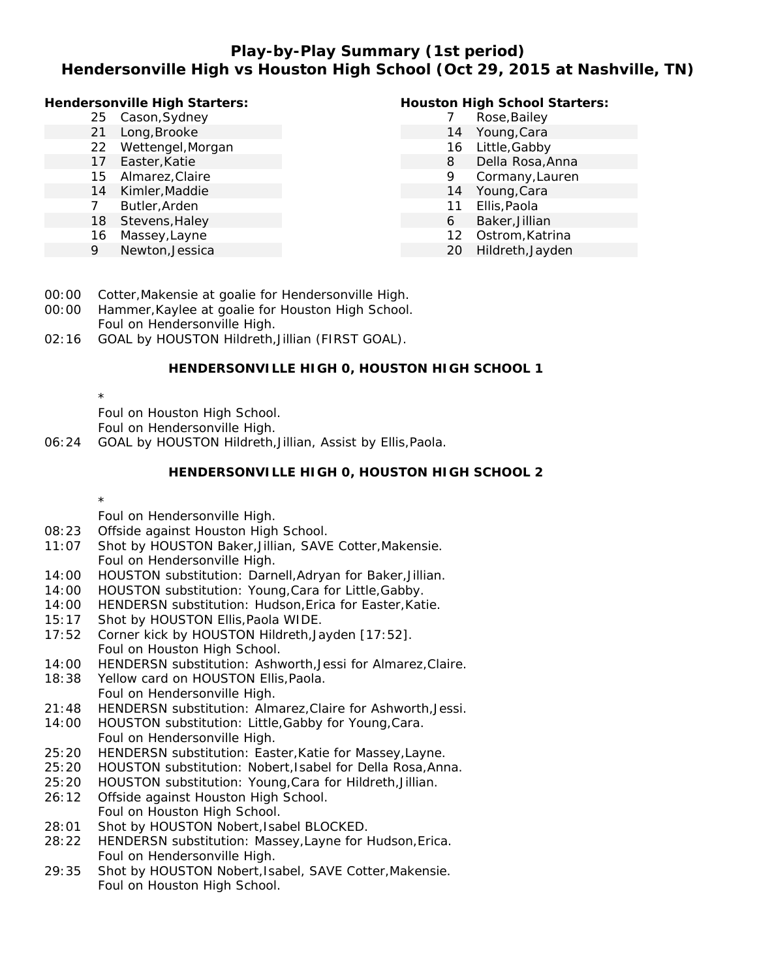# **Play-by-Play Summary (1st period) Hendersonville High vs Houston High School (Oct 29, 2015 at Nashville, TN)**

| 25 Cason, Sydney<br>Rose, Bailey<br>Long, Brooke<br>Young, Cara<br>21<br>14<br>Wettengel, Morgan<br>Little, Gabby<br>22<br>16<br>Della Rosa, Anna<br>Easter, Katie<br>17<br>8 | Houston High School Starters: |
|-------------------------------------------------------------------------------------------------------------------------------------------------------------------------------|-------------------------------|
|                                                                                                                                                                               |                               |
|                                                                                                                                                                               |                               |
|                                                                                                                                                                               |                               |
|                                                                                                                                                                               |                               |
| 15 Almarez, Claire<br>Cormany, Lauren<br>9                                                                                                                                    |                               |
| Kimler, Maddie<br>Young, Cara<br>14<br>14                                                                                                                                     |                               |
| Ellis, Paola<br>Butler, Arden<br>11                                                                                                                                           |                               |
| 18 Stevens, Haley<br>Baker, Jillian<br>6                                                                                                                                      |                               |
| Ostrom, Katrina<br>Massey, Layne<br>12<br>16                                                                                                                                  |                               |
| Newton, Jessica<br>Hildreth, Jayden<br>9<br>20                                                                                                                                |                               |

- 00:00 Cotter,Makensie at goalie for Hendersonville High.
- 00:00 Hammer,Kaylee at goalie for Houston High School. Foul on Hendersonville High.
- 02:16 GOAL by HOUSTON Hildreth,Jillian (FIRST GOAL).

### **HENDERSONVILLE HIGH 0, HOUSTON HIGH SCHOOL 1**

\* Foul on Houston High School.

Foul on Hendersonville High.

06:24 GOAL by HOUSTON Hildreth,Jillian, Assist by Ellis,Paola.

### **HENDERSONVILLE HIGH 0, HOUSTON HIGH SCHOOL 2**

### \*

Foul on Hendersonville High.

- 08:23 Offside against Houston High School.
- 11:07 Shot by HOUSTON Baker,Jillian, SAVE Cotter,Makensie. Foul on Hendersonville High.
- 14:00 HOUSTON substitution: Darnell,Adryan for Baker,Jillian.
- 14:00 HOUSTON substitution: Young,Cara for Little,Gabby.
- 14:00 HENDERSN substitution: Hudson,Erica for Easter,Katie.
- 15:17 Shot by HOUSTON Ellis,Paola WIDE.
- 17:52 Corner kick by HOUSTON Hildreth,Jayden [17:52]. Foul on Houston High School.
- 14:00 HENDERSN substitution: Ashworth,Jessi for Almarez,Claire.
- 18:38 Yellow card on HOUSTON Ellis,Paola. Foul on Hendersonville High.
- 21:48 HENDERSN substitution: Almarez,Claire for Ashworth,Jessi.
- 14:00 HOUSTON substitution: Little,Gabby for Young,Cara. Foul on Hendersonville High.
- 25:20 HENDERSN substitution: Easter,Katie for Massey,Layne.
- 25:20 HOUSTON substitution: Nobert,Isabel for Della Rosa,Anna.
- 25:20 HOUSTON substitution: Young,Cara for Hildreth,Jillian.
- 26:12 Offside against Houston High School. Foul on Houston High School.
- 28:01 Shot by HOUSTON Nobert,Isabel BLOCKED.
- 28:22 HENDERSN substitution: Massey,Layne for Hudson,Erica. Foul on Hendersonville High.
- 29:35 Shot by HOUSTON Nobert,Isabel, SAVE Cotter,Makensie. Foul on Houston High School.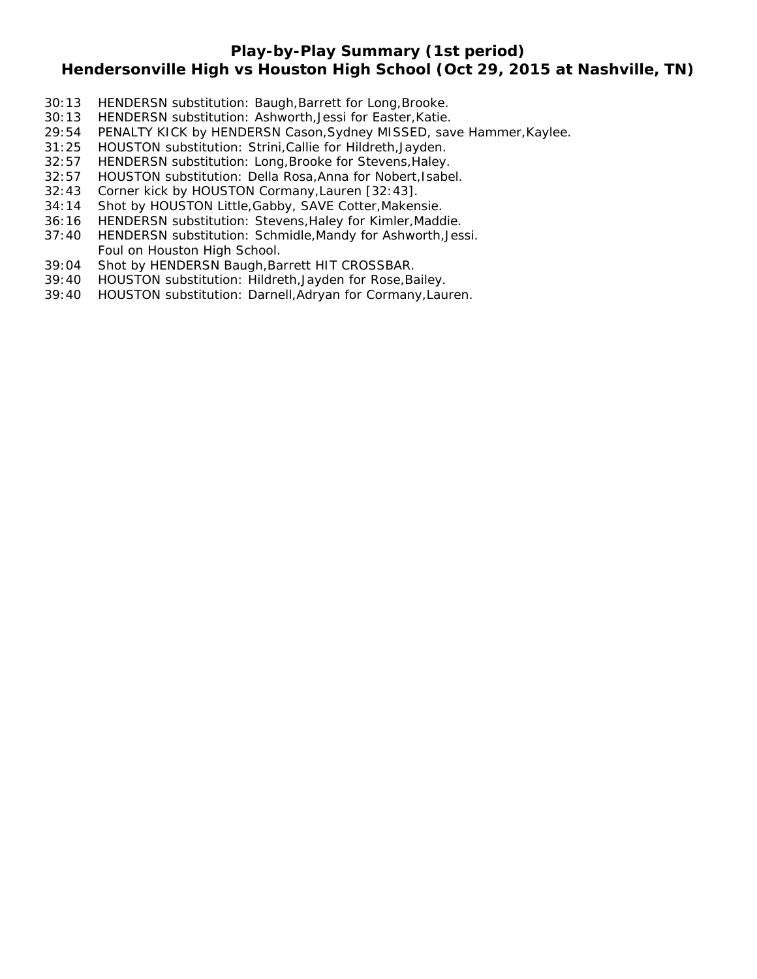# **Play-by-Play Summary (1st period)**

# **Hendersonville High vs Houston High School (Oct 29, 2015 at Nashville, TN)**

- 30:13 HENDERSN substitution: Baugh, Barrett for Long, Brooke.
- 30:13 HENDERSN substitution: Ashworth,Jessi for Easter,Katie.
- 29:54 PENALTY KICK by HENDERSN Cason,Sydney MISSED, save Hammer,Kaylee.
- 31:25 HOUSTON substitution: Strini,Callie for Hildreth,Jayden.
- 32:57 HENDERSN substitution: Long,Brooke for Stevens,Haley.
- 32:57 HOUSTON substitution: Della Rosa,Anna for Nobert,Isabel.
- 32:43 Corner kick by HOUSTON Cormany,Lauren [32:43].
- 34:14 Shot by HOUSTON Little,Gabby, SAVE Cotter,Makensie.
- 36:16 HENDERSN substitution: Stevens,Haley for Kimler,Maddie.
- 37:40 HENDERSN substitution: Schmidle,Mandy for Ashworth,Jessi. Foul on Houston High School.
- 39:04 Shot by HENDERSN Baugh,Barrett HIT CROSSBAR.
- 39:40 HOUSTON substitution: Hildreth,Jayden for Rose,Bailey.
- 39:40 HOUSTON substitution: Darnell,Adryan for Cormany,Lauren.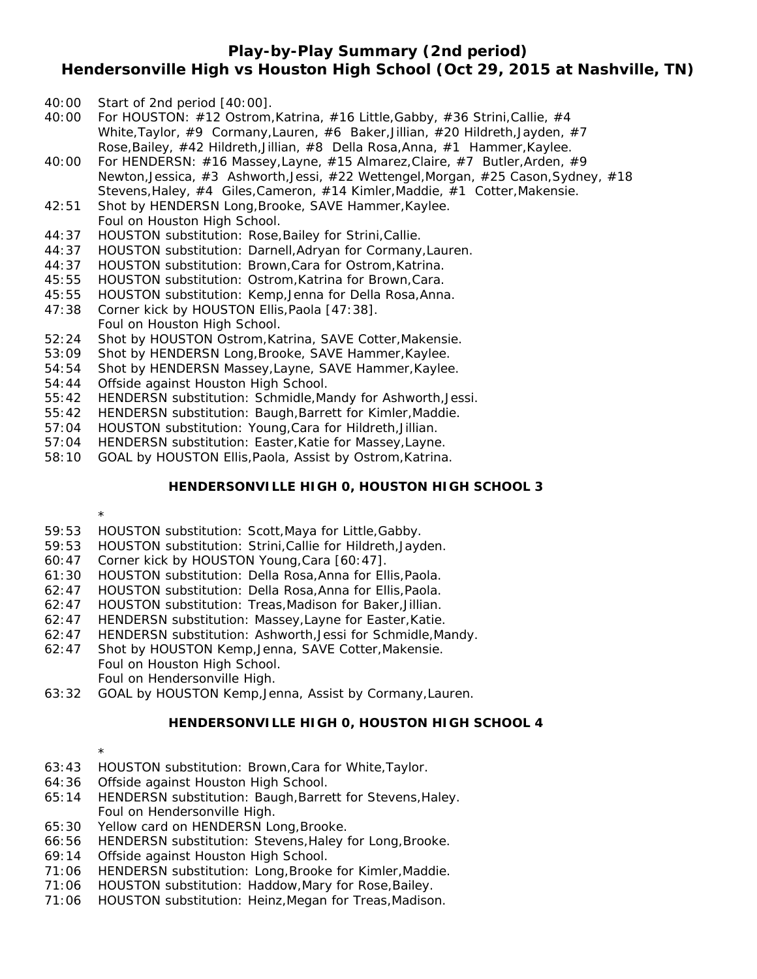## **Play-by-Play Summary (2nd period) Hendersonville High vs Houston High School (Oct 29, 2015 at Nashville, TN)**

- 40:00 Start of 2nd period [40:00].
- 40:00 For HOUSTON: #12 Ostrom,Katrina, #16 Little,Gabby, #36 Strini,Callie, #4 White,Taylor, #9 Cormany,Lauren, #6 Baker,Jillian, #20 Hildreth,Jayden, #7 Rose,Bailey, #42 Hildreth,Jillian, #8 Della Rosa,Anna, #1 Hammer,Kaylee.
- 40:00 For HENDERSN: #16 Massey,Layne, #15 Almarez,Claire, #7 Butler,Arden, #9 Newton,Jessica, #3 Ashworth,Jessi, #22 Wettengel,Morgan, #25 Cason,Sydney, #18 Stevens,Haley, #4 Giles,Cameron, #14 Kimler,Maddie, #1 Cotter,Makensie.
- 42:51 Shot by HENDERSN Long,Brooke, SAVE Hammer,Kaylee.
- Foul on Houston High School.
- 44:37 HOUSTON substitution: Rose,Bailey for Strini,Callie.
- 44:37 HOUSTON substitution: Darnell,Adryan for Cormany,Lauren.
- 44:37 HOUSTON substitution: Brown,Cara for Ostrom,Katrina.
- 45:55 HOUSTON substitution: Ostrom,Katrina for Brown,Cara.
- 45:55 HOUSTON substitution: Kemp,Jenna for Della Rosa,Anna.
- 47:38 Corner kick by HOUSTON Ellis,Paola [47:38]. Foul on Houston High School.
- 52:24 Shot by HOUSTON Ostrom,Katrina, SAVE Cotter,Makensie.
- 53:09 Shot by HENDERSN Long,Brooke, SAVE Hammer,Kaylee.
- 54:54 Shot by HENDERSN Massey,Layne, SAVE Hammer,Kaylee.
- 54:44 Offside against Houston High School.
- 55:42 HENDERSN substitution: Schmidle,Mandy for Ashworth,Jessi.
- 55:42 HENDERSN substitution: Baugh,Barrett for Kimler,Maddie.
- 57:04 HOUSTON substitution: Young,Cara for Hildreth,Jillian.
- 57:04 HENDERSN substitution: Easter,Katie for Massey,Layne.
- 58:10 GOAL by HOUSTON Ellis,Paola, Assist by Ostrom,Katrina.

### **HENDERSONVILLE HIGH 0, HOUSTON HIGH SCHOOL 3**

\*

- 59:53 HOUSTON substitution: Scott,Maya for Little,Gabby.
- 59:53 HOUSTON substitution: Strini,Callie for Hildreth,Jayden.
- 60:47 Corner kick by HOUSTON Young,Cara [60:47].
- 61:30 HOUSTON substitution: Della Rosa,Anna for Ellis,Paola.
- 62:47 HOUSTON substitution: Della Rosa,Anna for Ellis,Paola.
- 62:47 HOUSTON substitution: Treas,Madison for Baker,Jillian.
- 62:47 HENDERSN substitution: Massey,Layne for Easter,Katie.
- 62:47 HENDERSN substitution: Ashworth,Jessi for Schmidle,Mandy.
- 62:47 Shot by HOUSTON Kemp,Jenna, SAVE Cotter,Makensie. Foul on Houston High School. Foul on Hendersonville High.
- 63:32 GOAL by HOUSTON Kemp,Jenna, Assist by Cormany,Lauren.

### **HENDERSONVILLE HIGH 0, HOUSTON HIGH SCHOOL 4**

- \* 63:43 HOUSTON substitution: Brown,Cara for White,Taylor.
- 64:36 Offside against Houston High School.
- 65:14 HENDERSN substitution: Baugh,Barrett for Stevens,Haley. Foul on Hendersonville High.
- 65:30 Yellow card on HENDERSN Long,Brooke.
- 66:56 HENDERSN substitution: Stevens,Haley for Long,Brooke.
- 69:14 Offside against Houston High School.
- 71:06 HENDERSN substitution: Long,Brooke for Kimler,Maddie.
- 71:06 HOUSTON substitution: Haddow,Mary for Rose,Bailey.
- 71:06 HOUSTON substitution: Heinz,Megan for Treas,Madison.